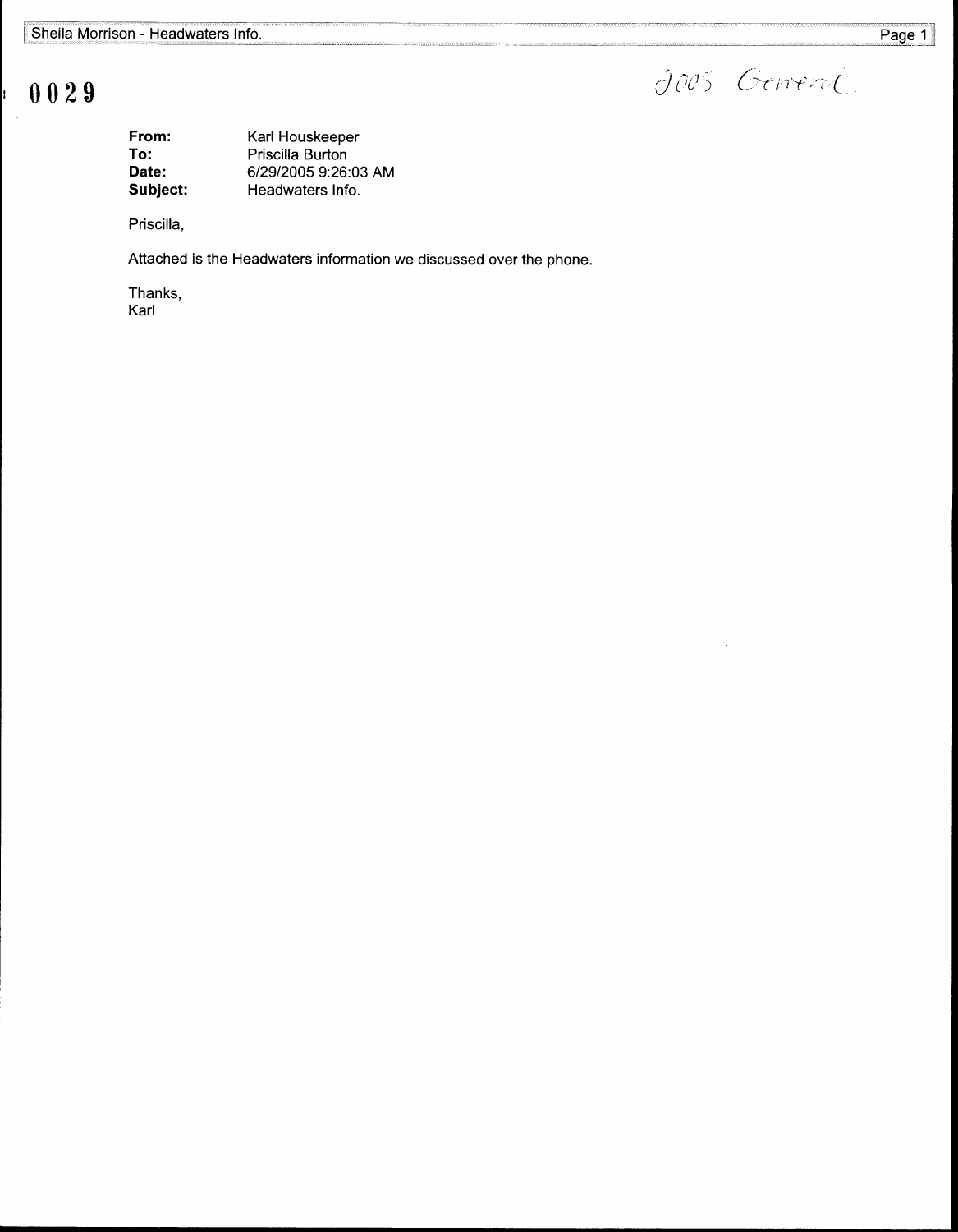$\sigma$ 

# 0029

| From:    | Karl Houskeeper      |
|----------|----------------------|
| To:      | Priscilla Burton     |
| Date:    | 6/29/2005 9:26:03 AM |
| Subject: | Headwaters Info.     |

Priscilla,

Attached is the Headwaters information we discussed over the phone.

Thanks, Karl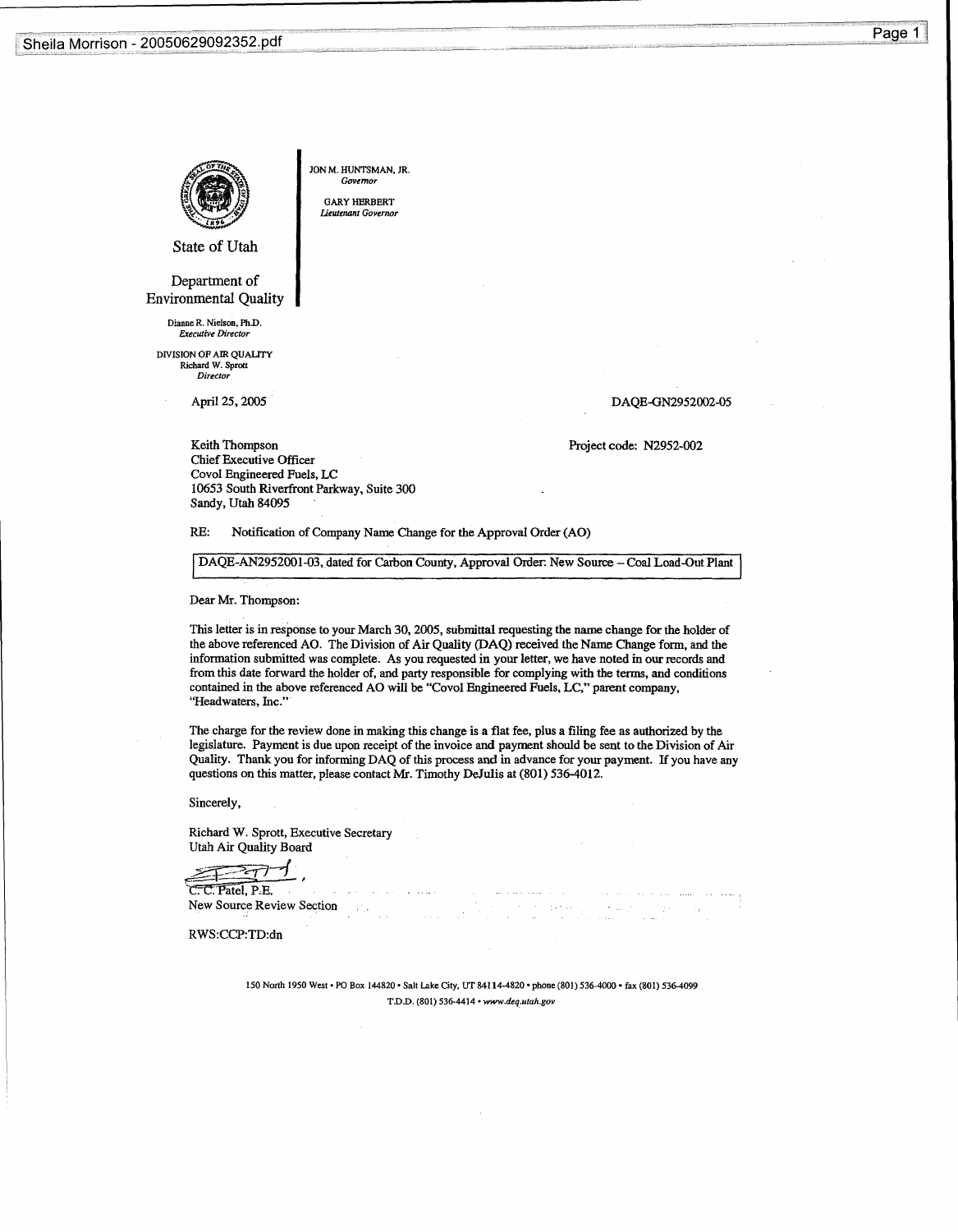Sheila Morrison - 20050629092352 .pdf



JON M. HUNTSMAN, JR. Govern

GARY HERBERT Lieutenant Governor

State of Utah

Department of Environmental Quality

Dianue R. Nielson, Fh.D.<br>Executive Director

DIVISION OF AIR QUALITY Richard W . Sprott Director

April 25, 2005

### DAQE-GN2952002-05

Project code: N2952-002

Keith Thompson Chief Executive Officer Covol Engineered Fuels, LC 10653 South Riverfront Parkway, Suite 300 Sandy, Utah 84095

RE: Notification of Company Name Change for the Approval Order (AO)

DAQE-AN2952001-03, dated for Carbon County, Approval Order: New Source - Coal Load-Out Plant

Dear Mr. Thompson:

This letter is in response to your March 30, 2005, submittal requesting the name change for the holder of the above referenced AO. The Division of Air Quality (DAQ) received the Name Change form, and the information submitted was complete. As you requested in your letter, we have noted in our records and from this date forward the holder of, and party responsible for complying with the terms, and conditions contained in the above referenced AO will be "Covol Engineered Fuels, LC," parent company, "Headwaters, Inc."

The charge for the review done in making this change is a flat fee, plus a filing fee as authorized by the legislature. Payment is due upon receipt of the invoice and payment should be sent to the Division of Air Quality. Thank you for informing DAQ of this process and in advance for your payment. If you have any questions on this matter, please contact Mr. Timothy DeJulis at (801) 536-4012.

Sincerely,

Richard W. Sprott, Executive Secretary Utah Air Quality Board

 $\mathbb{P}$ C. C. Patel, P.E.

New Source Review Section

RWS:CCP:TD:dn

150 North 1950 West • PO Box 144820 • Salt Lake City, UT 84114-4820 • phone (801) 536-4000 • fax (801) 536-4099 T.D .D . (801) 536-4414 • www.deq.utah.gov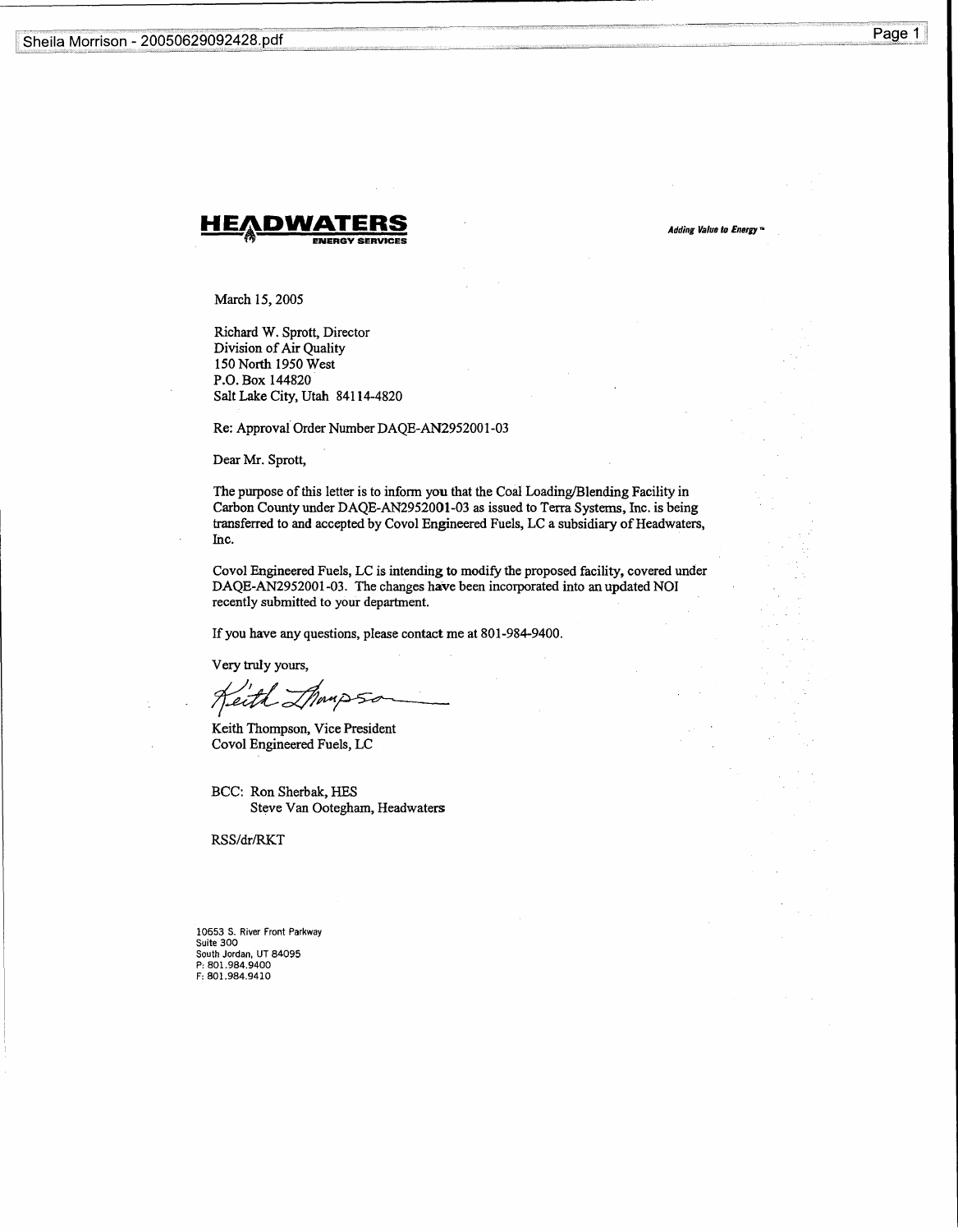

Adding Value to Energy n

March 15, 2005

Richard W. Sprott, Director Division of Air Quality 150 North 1950 West P.O. Box 144820 Salt Lake City, Utah 84114-4820

Re: Approval Order Number DAQE-AN2952001-03

Dear Mr. Sprott,

The purpose of this letter is to inform you that the Coal Loading/Blending Facility in Carbon County under DAQE-AN2952001-03 as issued to Terra Systems, Inc. is being transferred to and accepted by Covol Engineered Fuels, LC a subsidiary of Headwaters, Inc.

Covol Engineered Fuels, LC is intending to modify the proposed facility, covered under DAQE-AN2952001-03 . The changes have been incorporated into an updated NOI recently submitted to your department.

If you have any questions, please contact me at 801-984-9400 .

Very truly yours,

Keith Thompson, Vice President Covol Engineered Fuels, LC

BCC: Ron Sherbak, HES Steve Van Ootegham, Headwaters

RSS/dr/RKT

10653 S . River Front Parkway Suite 300 South Jordan, UT 84095 P : 801 .984 .9400 F: 801 .984 .9410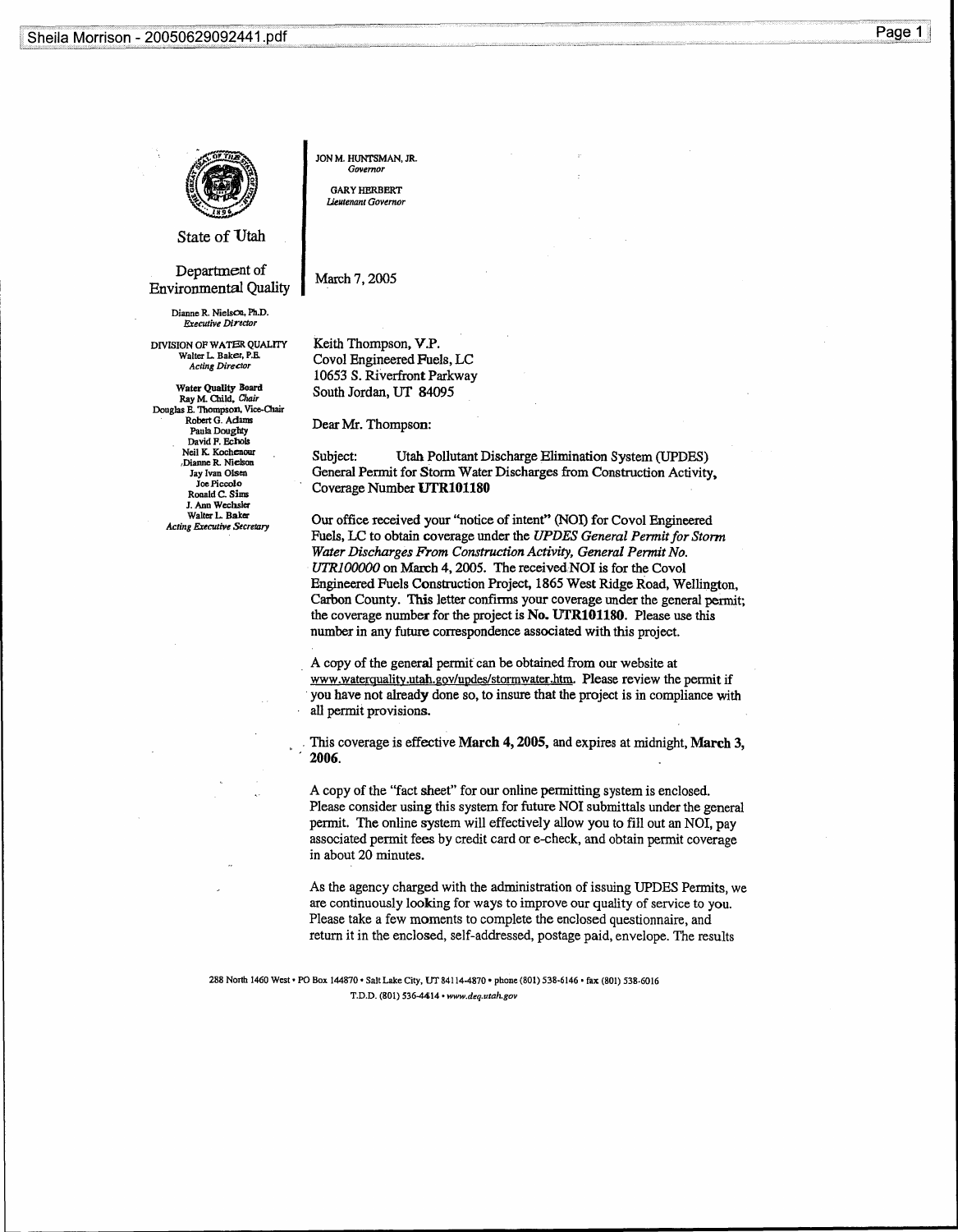

JON M. HUNTSMAN, JR. Governor

GARY HERBERT Lieutenant Governor

State of Utah

Department of Environmental Quality

> Dianne R. Nielson, Ph.D. Executive Director

DIVISION OP WATER QUALITY Walter L. Baker, P.B.<br>Acting Director

Water Quality Board<br>Ray M. Child, Chair Douglas E. Thompson, Vice-Chair Robert G . Adams Paula Doughty David F. Echols Neil K. Kochenour ,Dianne R. Nielson Jay Ivan Olsen Joe Piccolo Ronald C. Sims J. Ann Wechsler Walter L. Baker Acting Executive Secretary

March 7, 2005

Keith Thompson, V.P. Covol Engineered Fuels, LC 10653 S. Riverfront Parkway South Jordan, UT 84095

Dear Mr. Thompson:

Subject: Utah Pollutant Discharge Elimination System (UPDES) General Permit for Storm Water Discharges from Construction Activity, Coverage Number UTRIO1180

Our office received your "notice of intent" (NOI) for Covol Engineered Fuels, LC to obtain coverage under the UPDES General Permit for Storm Water Discharges From Construction Activity, General Permit No. UTR100000 on March 4, 2005. The received NOI is for the Covol Engineered Fuels Construction Project, 1865 West Ridge Road, Wellington, Carbon County. This letter confirms your coverage under the general permit; the coverage number for the project is No. UTR101180. Please use this number in any future correspondence associated with this project.

A copy of the general permit can be obtained from our website at www.waterquality.utah.gov/updes/stormwater.htm. Please review the permit if you have not already done so, to insure that the project is in compliance with all permit provisions.

This coverage is effective March 4, 2005, and expires at midnight, March 3, 2006.

A copy of the "fact sheet" for our online permitting system is enclosed . Please consider using this system for future NOI submittals under the general permit. The online system will effectively allow you to fill out an NOI, pay associated permit fees by credit card or e-check, and obtain permit coverage in about 20 minutes.

As the agency charged with the administration of issuing UPDES Permits, we are continuously looking for ways to improve our quality of service to you . Please take a few moments to complete the enclosed questionnaire, and return it in the enclosed, self-addressed, postage paid, envelope . The results

288 North 1460 West • PO Box 144870 • Salt Lake City, UT 84114-4870 • phone (801) 538-6146 • fax (801) 538-6016 T.D.D. (801) 536-4414 • www.deq.utah.gov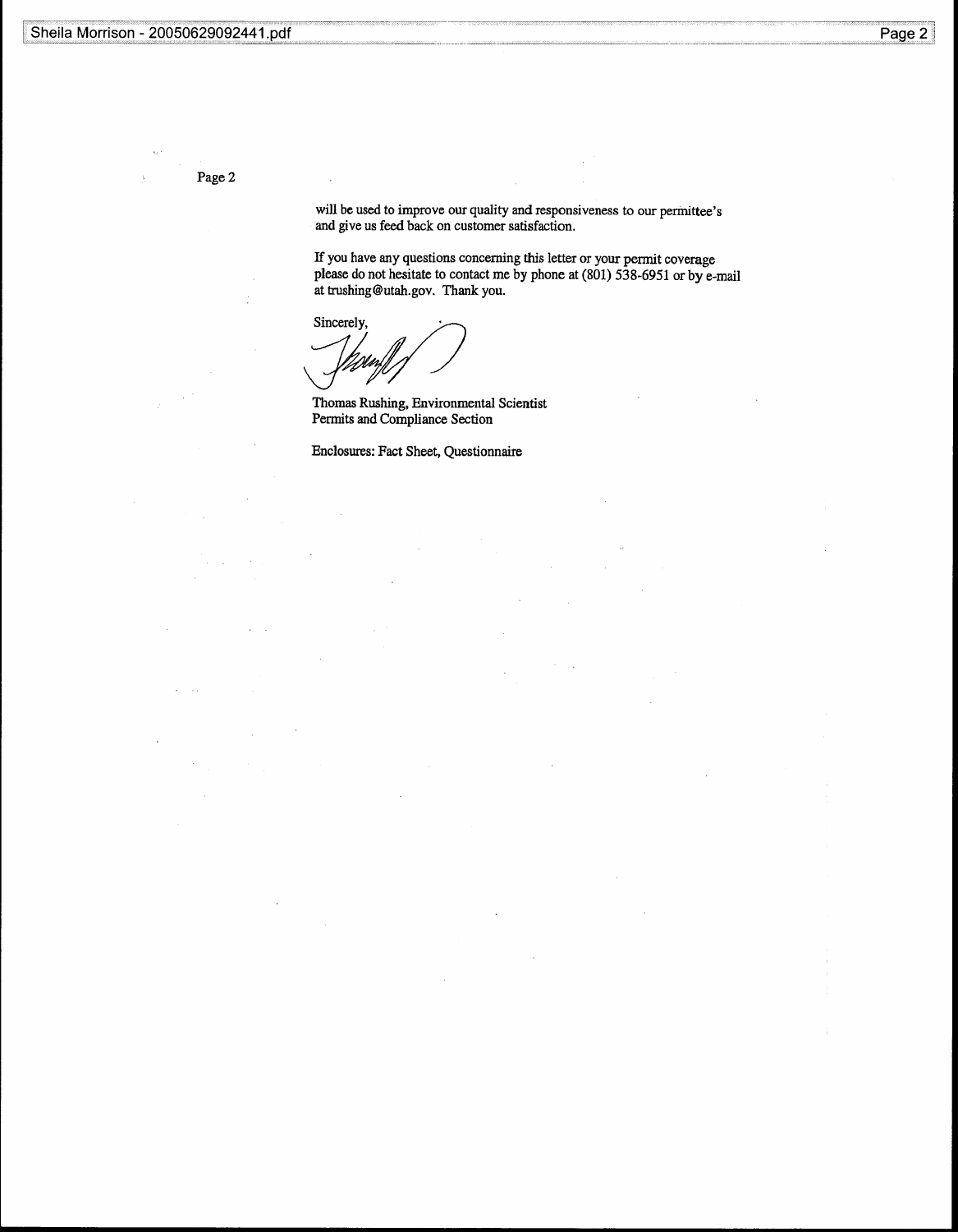Page 2

will be used to improve our quality and responsiveness to our permittee's and give us feed back on customer satisfaction.

If you have any questions concerning this letter or your permit coverage please do not hesitate to contact me by phone at (801) 538-6951 or by e-mail at trushing@utah.gov. Thank you.

Sincerely,

Thomas Rushing, Environmental Scientist Permits and Compliance Section

Enclosures: Fact Sheet, Questionnaire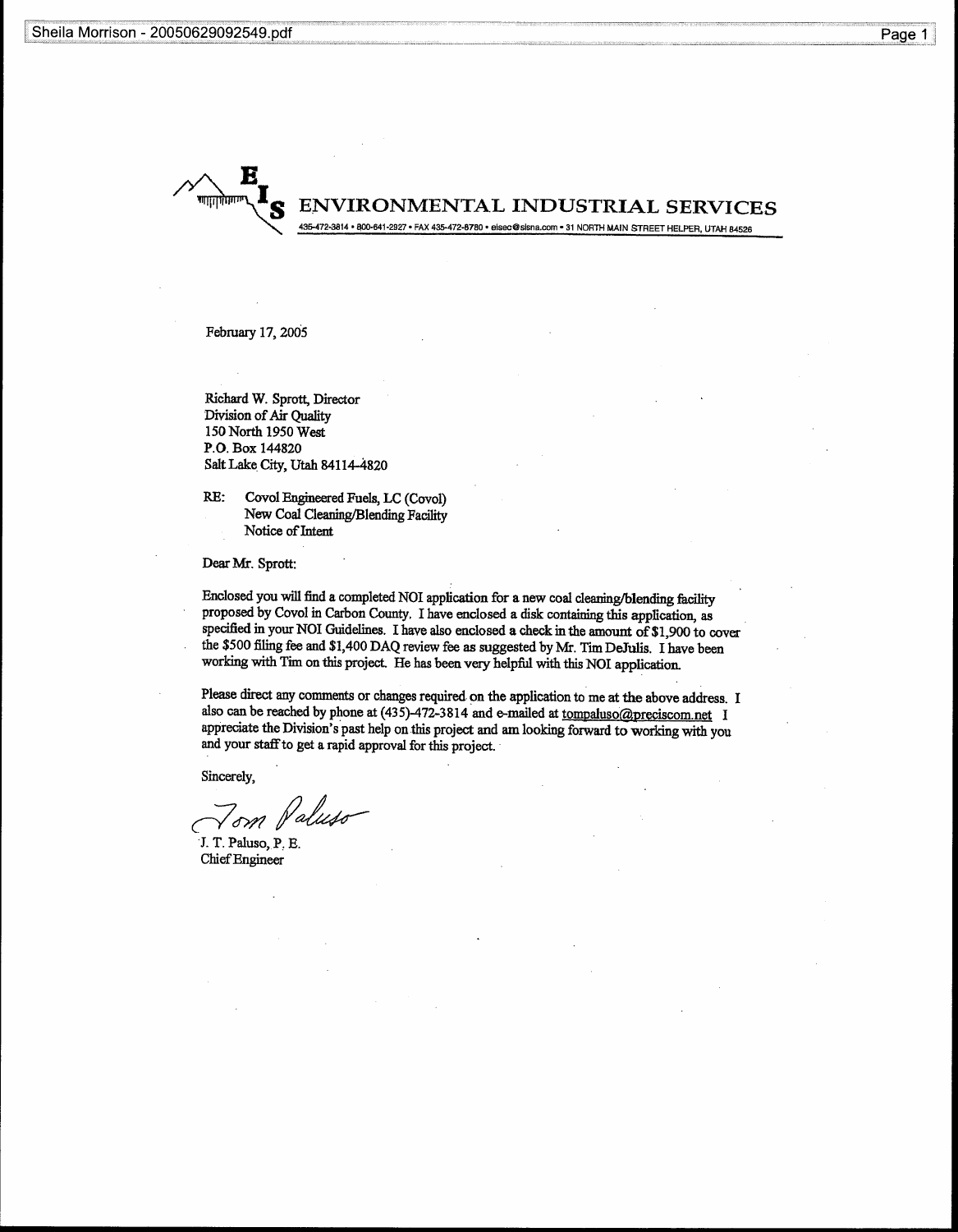Sheila Morrison - 20050629092549.pdf **Sheila** 



February 17, 2005

Richard W. Sprott, Director Division of Air Quality 150 North 1950 West P.O. Box 144820 Salt Lake City, Utah 84114-4820

RE: Covol Engineered Fuels, LC (Covol) New Coal Cleaning/Blending Facility Notice of Intent

Dear Mr. Sprott:

Enclosed you will find a completed NOI application for a new coal cleaning/blending facility proposed by Covol in Carbon County, I have enclosed a disk containing this application, as specified in your NOI Guidelines. I have also enclosed a check in the amount of \$1,900 to cover the \$500 filing fee and \$1,400 DAQ review fee as suggested by Mr . Tim DeJulis. I have been working with Tim on this project. He has been very helpful with this NOI application .

Please direct any comments or changes required on the application to me at the above address . I also can be reached by phone at  $(435)$ -472-3814 and e-mailed at tompaluso@preciscom.net I appreciate the Division's past help on this project and am looking forward to working with you and your staff to get a rapid approval for this project.

Sincerely,

'om

J. T. Paluso, P. E. Chief Engineer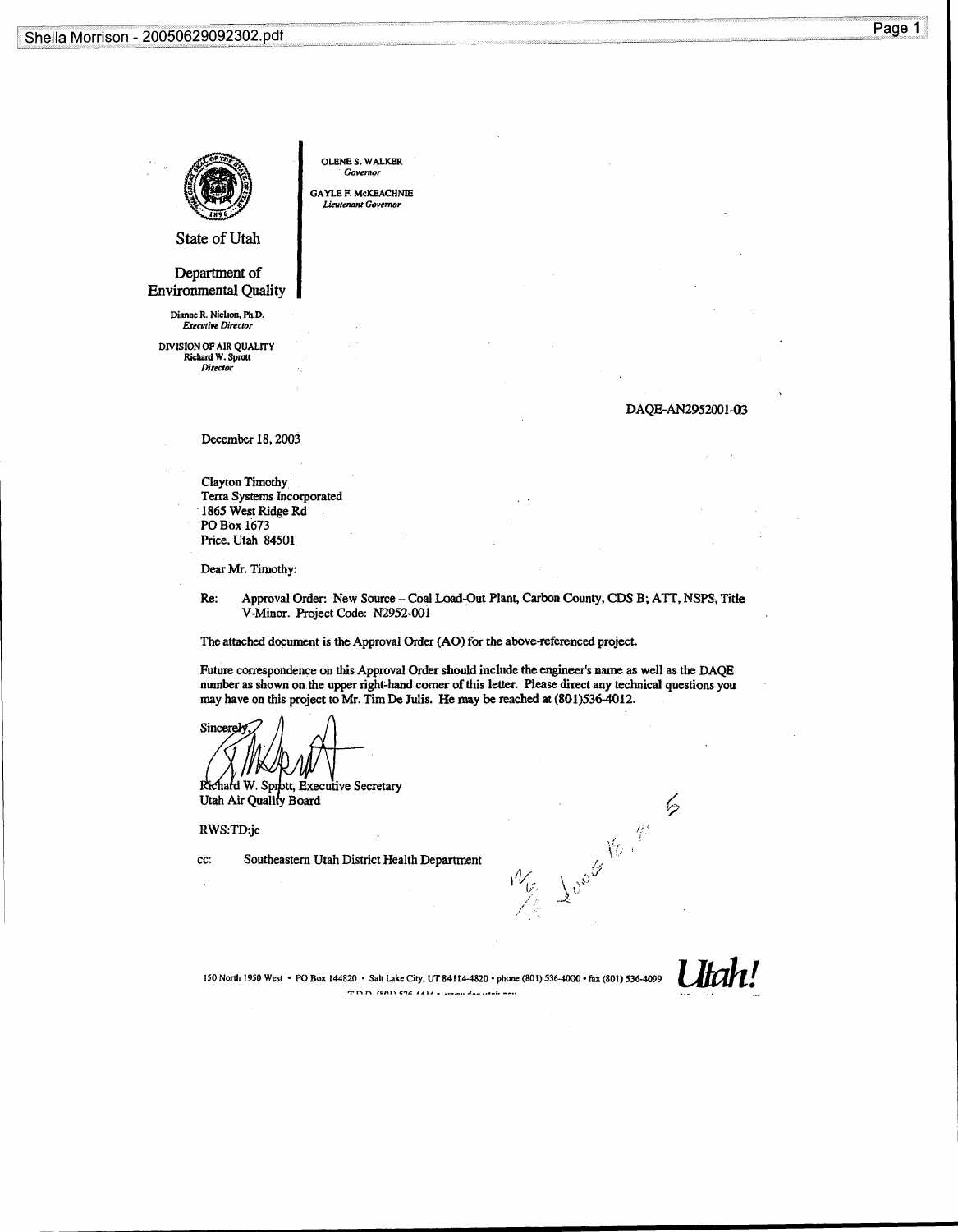

OLENE S. WALKER Governor

GAYLE F. McKEACHNIE Lieutenant Governor

State of Utah

Department of Environmental Quality

> Dianne R. Nielson, Ph.D. Executive Director

DIVISION OF AIR QUALITY Richard W. Sprott Director

DAQE-AN2952001-03

 $\varphi$ 

December 18, 2003

Clayton Timothy, Terra Systems Incorporated '1865 West Ridge Rd PO Box 1673 Price, Utah 84501

Dear Mr. Timothy:

Re: Approval Order: New Source - Coal Load-Out Plant, Carbon County, CDS B; ATT, NSPS, Title V-Minor. Project Code: N2952-001

The attached document is the Approval Order (AO) for the above-referenced project.

Future correspondence on this Approval Order should include the engineer's name as well as the DAQE number as shown on the upper right-hand corner of this letter. Please direct any technical questions you may have on this project to Mr. Tim De Julis. He may be reached at  $(801)536-4012$ .

Sincerel

Richard W. Sprott, Executive Secretary Utah Air Quality Board

RWS:TD:jc

cc: Southeastern Utah District Health Department

 $W_{\!\scriptscriptstyle (\!\varsigma\!)}$ 

Utah! 150 North 1950 West • PO Box 144820 • Salt Lake City, UT 84114-4820 • phone (801) 536-4000 • fax (801) 536-4099  $T \cap D$  (2011)  $C26$   $A414$   $B$   $C26$   $A314$   $C36$   $C48$   $D56$   $D66$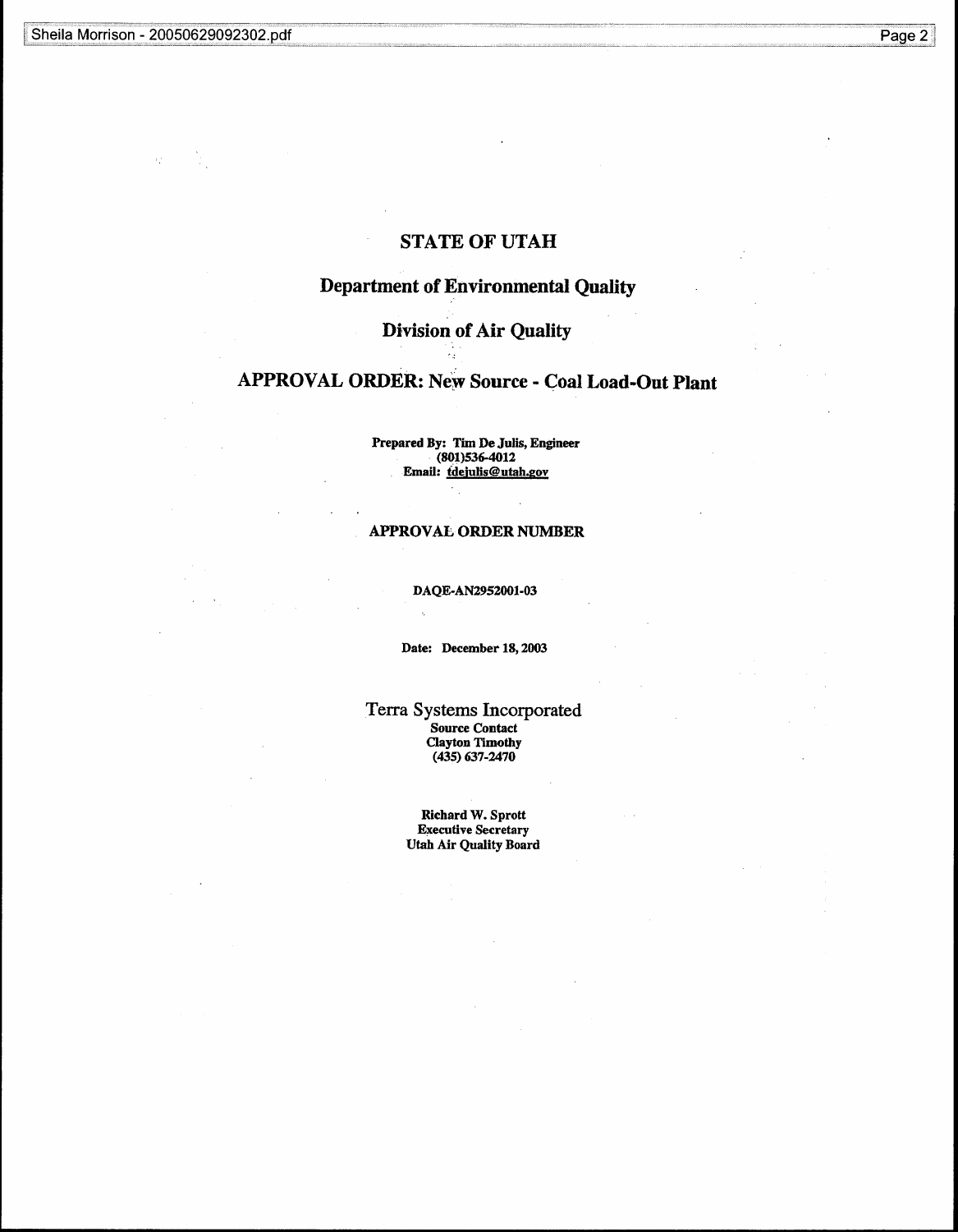# STATE OF UTAH

# Department of Environmental Quality

# Division of Air Quality

# APPROVAL ORDER: New Source - Coal Load-Out Plant

Prepared By: Tim De Julis, Engineer (801)536-4012 Email: tdejulis@utah.gov

# APPROVAL ORDER NUMBER

DAQE-AN2952001-03

Date: December 18, 2003

Terra Systems Incorporated Source Contact Clayton Timothy (435) 637-2470

> Richard W. Sprott Executive Secretary Utah Air Quality Board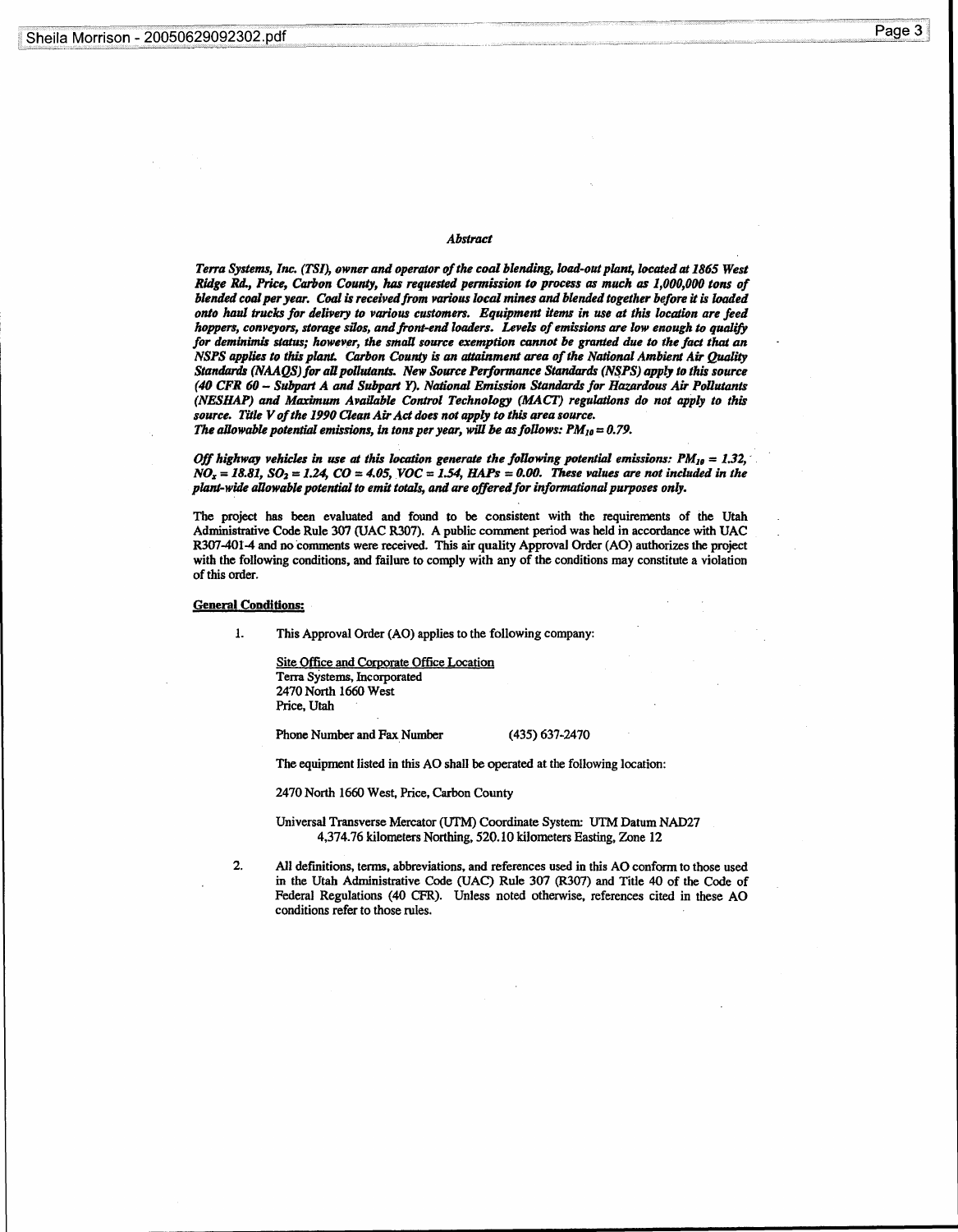# Abstract

Terra Systems, Inc. (TSI), owner and operator of the coal blending, load-out plant, located at 1865 West Ridge Rd., Price, Carbon County, has requested permission to process as much as 1,000,000 tons of blended coal per year. Coal is received from various local mines and blended together before it is loaded onto haul trucks for delivery to various customers. Equipment items in use at this location are feed hoppers, conveyors, storage silos, and front-end loaders. Levels of emissions are low enough to qualify for deminimis status; however, the small source exemption cannot be granted due to the fact that an NSPS applies to this plant. Carbon County is an attainment area of the National Ambient Air Quality Standards (NAAQS) for all pollutants. New Source Performance Standards (NSPS) apply to this source (40 CFR 60 - Subpart A and Subpart Y) . National Emission Standards for Hazardous Air Pollutants (NESIIAP) and Maximum Available Control Technology (MACT) regulations do not apply to this source. Title V of the 1990 Clean Air Act does not apply to this area source. The allowable potential emissions, in tons per year, will be as follows:  $PM_{10} = 0.79$ .

Off highway vehicles in use at this location generate the following potential emissions:  $PM_{10} = 1.32$ ,  $NO_x = 18.81$ ,  $SO_2 = 1.24$ ,  $CO = 4.05$ ,  $VOC = 1.54$ ,  $HAPs = 0.00$ . These values are not included in the plant-wide allowable potential to emit totals, and are offered for informational purposes only .

The project has been evaluated and found to be consistent with the requirements of the Utah Administrative Code Rule 307 (UAC R307) . A public comment period was held in accordance with UAC R307-4014 and no comments were received . This air quality Approval Order (AO) authorizes the project with the following conditions, and failure to comply with any of the conditions may constitute a violation of this order.

### General Conditions:

1. This Approval Order (AO) applies to the following company:

Site Office and Corporate Office Location, Terra Systems, Incorporated 2470 North 1660 West Price, Utah

Phone Number and Fax Number (435) 637-2470

The equipment listed in this AO shall be operated at the following location :

2470 North 1660 West, Price, Carbon County

Universal Transverse Mercator (UTM) Coordinate System: UTM Datum NAD27 4,374.76 kilometers Northing, 520.10 kilometers Easting, Zone 12

2. All definitions, terms, abbreviations, and references used in this AO conform to those used in the Utah Administrative Code (UAC) Rule 307 (R307) and Title 40 of the Code of Federal Regulations (40 CFR) . Unless noted otherwise, references cited in these AO conditions refer to those rules.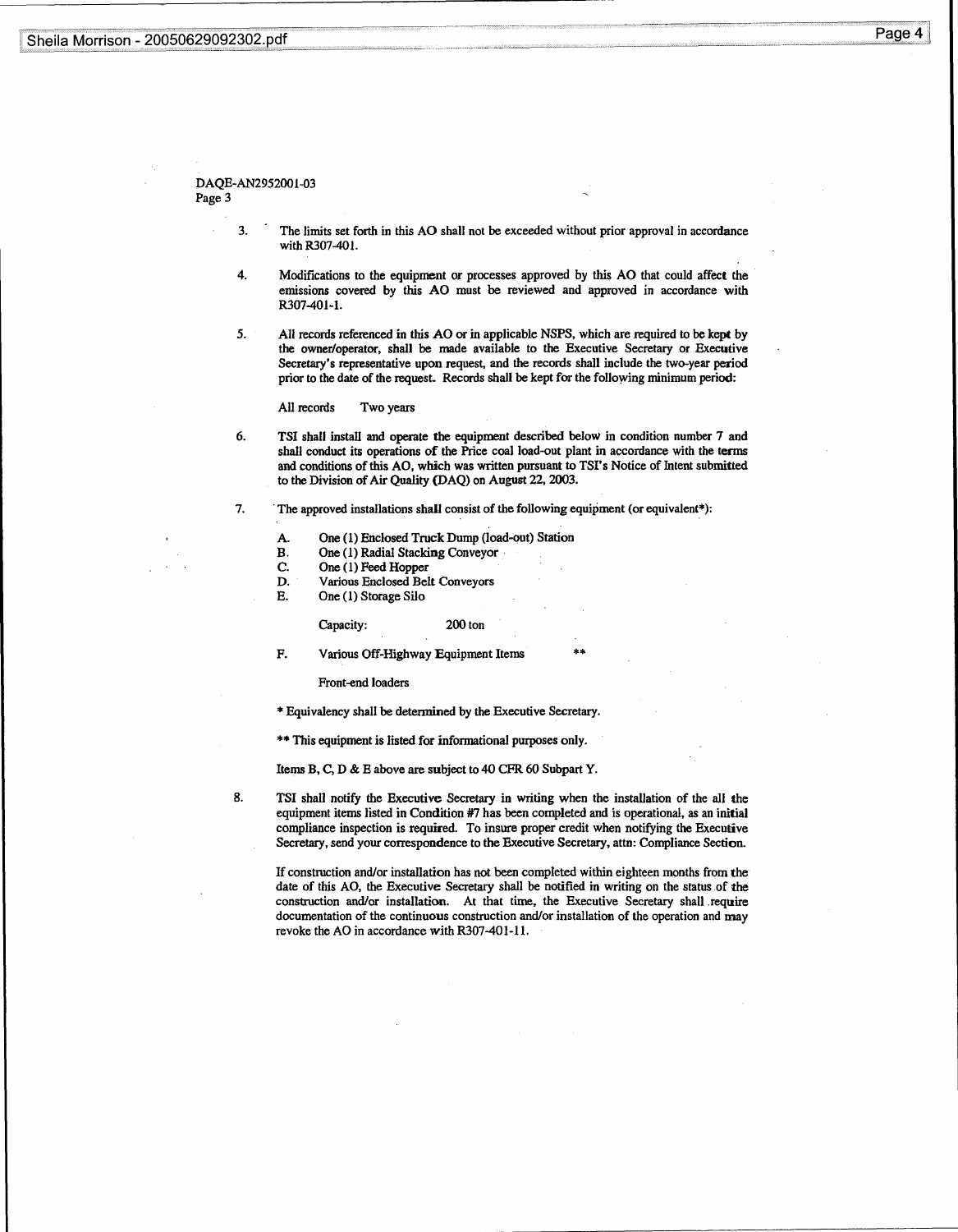# Sheila Morrison - 20050629092302 .pdf Sheila Morrison - 2

# Page 4

# DAQE-AN2952001-03 Page 3

- 3. The limits set forth in this AO shall not be exceeded without prior approval in accordance with R307-401.
- 4 . Modifications to the equipment or processes approved by this AO that could affect the emissions covered by this AO must be reviewed and approved in accordance with R307-401-1.
- 5. All records referenced in this AO or in applicable NSPS, which are required to be kept by the owner/operator, shall be made available to the Executive Secretary or Executive Secretary's representative upon request, and the records shall include the two-year period prior to the date of the request. Records shall be kept for the following minimum period :

#### All records Two years

6 . TSI shall install and operate the equipment described below in condition number 7 and shall conduct its operations of the Price coal load-out plant in accordance with the terms and conditions of this AO, which was written pursuant to TSI's Notice of Intent submitted to the Division of Air Quality (DAQ) on August 22, 2003 .

#### 7. The approved installations shall consist of the following equipment (or equivalent\*):

- A. One (1) Enclosed Truck Dump (load-out) Station<br>B. One (1) Radial Stacking Conveyor
- B. One (1) Radial Stacking Conveyor<br>C. One (1) Feed Hopper
- C. One (1) Feed Hopper<br>D. Various Enclosed Bel
- D. Various Enclosed Belt Conveyors<br>E. One (1) Storage Silo
- One (1) Storage Silo

#### Capacity: 200 ton

F. Various Off-Highway Equipment Items

Front-end loaders

\* Equivalency shall be determined by the Executive Secretary .

\*\* This equipment is listed for informational purposes only.

Items B, C, D & E above are subject to 40 CFR 60 Subpart Y.

8. TSI shall notify the Executive Secretary in writing when the installation of the all the equipment items listed in Condition #7 has been completed and is operational, as an initial compliance inspection is required. To insure proper credit when notifying the Executive Secretary, send your correspondence to the Executive Secretary, attn: Compliance Section.

\*\*

If construction and/or installation has not been completed within eighteen months from the date of this AO, the Executive Secretary shall be notified in writing on the status of the construction and/or installation. At that time, the Executive Secretary shall require documentation of the continuous construction and/or installation of the operation and may revoke the AO in accordance with R307-401-11.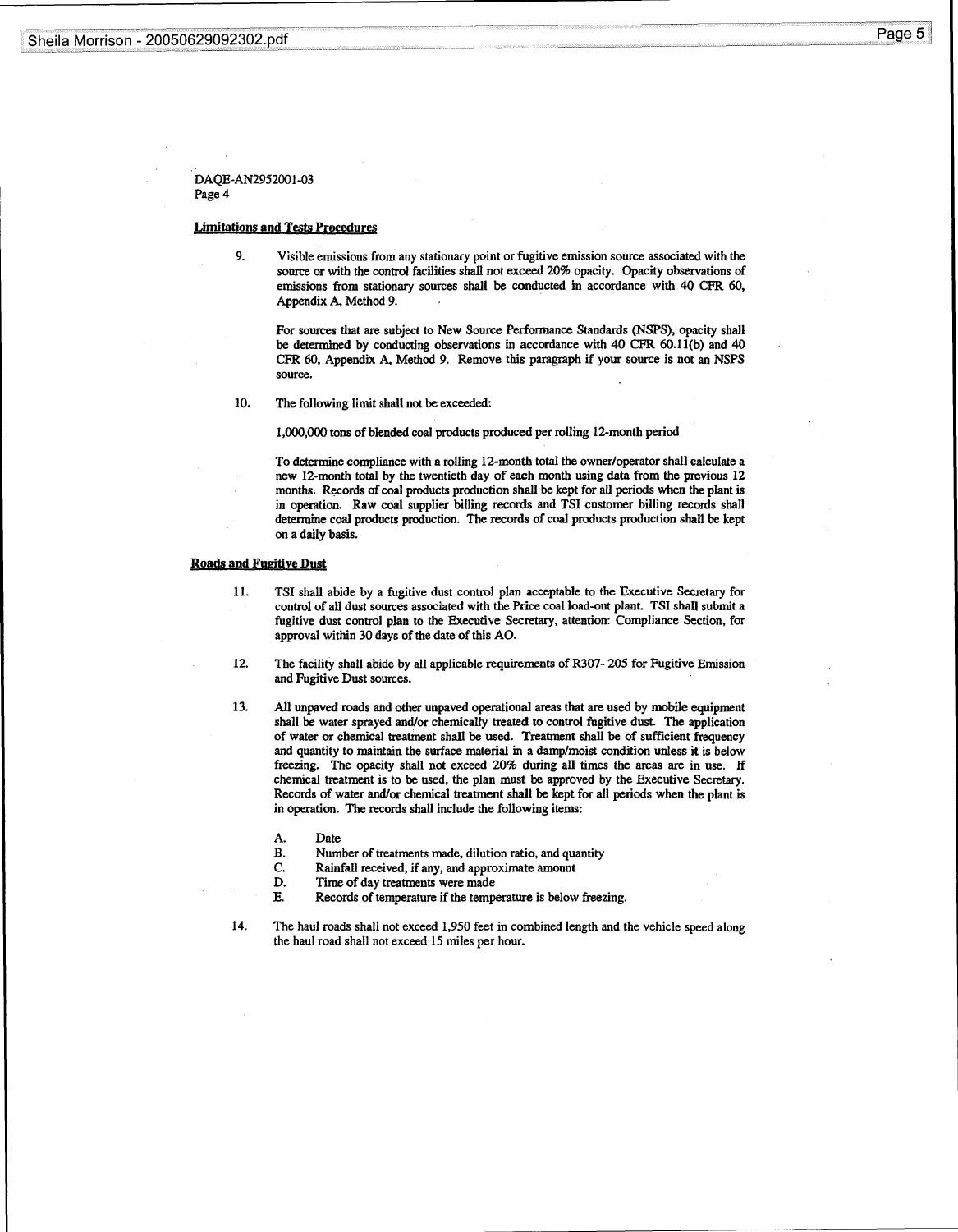# Sheila Morrison - 20050629092302.pdf Sheila Morrison - 2

Page 5

DAQE-AN2952001-03 Page 4

## Limitations and Tests Procedures

9. Visible emissions from any stationary point or fugitive emission source associated with the source or with the control facilities shall not exceed 20% opacity. Opacity observations of emissions from stationary sources shall be conducted in accordance with 40 CFR 60, Appendix A, Method 9.

For sources that are subject to New Source Performance Standards (NSPS), opacity shall be determined by conducting observations in accordance with 40 CFR 60.11(b) and 40 CFR 60, Appendix A, Method 9. Remove this paragraph if your source is not an NSPS source.

10. The following limit shall not be exceeded:

1,000,000 tons of blended coal products produced per rolling 12-month period

To determine compliance with a rolling 12-month total the owner/operator shall calculate a new 12-month total by the twentieth day of each month using data from the previous 12 months. Records of coal products production shall be kept for all periods when the plant is in operation. Raw coal supplier billing records and TSI customer billing records shall determine coal products production . The records of coal products production shall be kept on a daily basis .

# Roads and Fugitive Dust

- 11. TSI shall abide by a fugitive dust control plan acceptable to the Executive Secretary for control of all dust sources associated with the Price coal load-out plant. TSI shall submit a fugitive dust control plan to the Executive Secretary, attention : Compliance Section, for approval within 30 days of the date of this AO.
- 12 . The facility shall abide by all applicable requirements of R307- 205 for Fugitive Emission and Fugitive Dust sources.
- 13 . All unpaved roads and other unpaved operational areas that are used by mobile equipment shall be water sprayed and/or chemically treated to control fugitive dust . The application of water or chemical treatment shall be used. Treatment shall be of sufficient frequency and quantity to maintain the surface material in a damp/moist condition unless it is below freezing. The opacity shall not exceed 20% during all times the areas are in use . If chemical treatment is to be used, the plan must be approved by the Executive Secretary . Records of water and/or chemical treatment shall be kept for all periods when the plant is in operation. The records shall include the following items:
	- A.<br>B. Date
	- B. Number of treatments made, dilution ratio, and quantity C. Rainfall received, if any, and approximate amount
	- C. Rainfall received, if any, and approximate amount<br>D. Time of day treatments were made
	- D. Time of day treatments were made<br>E. Records of temperature if the temp
		- Records of temperature if the temperature is below freezing.
- 14 . The haul roads shall not exceed 1,950 feet in combined length and the vehicle speed along the haul road shall not exceed 15 miles per hour.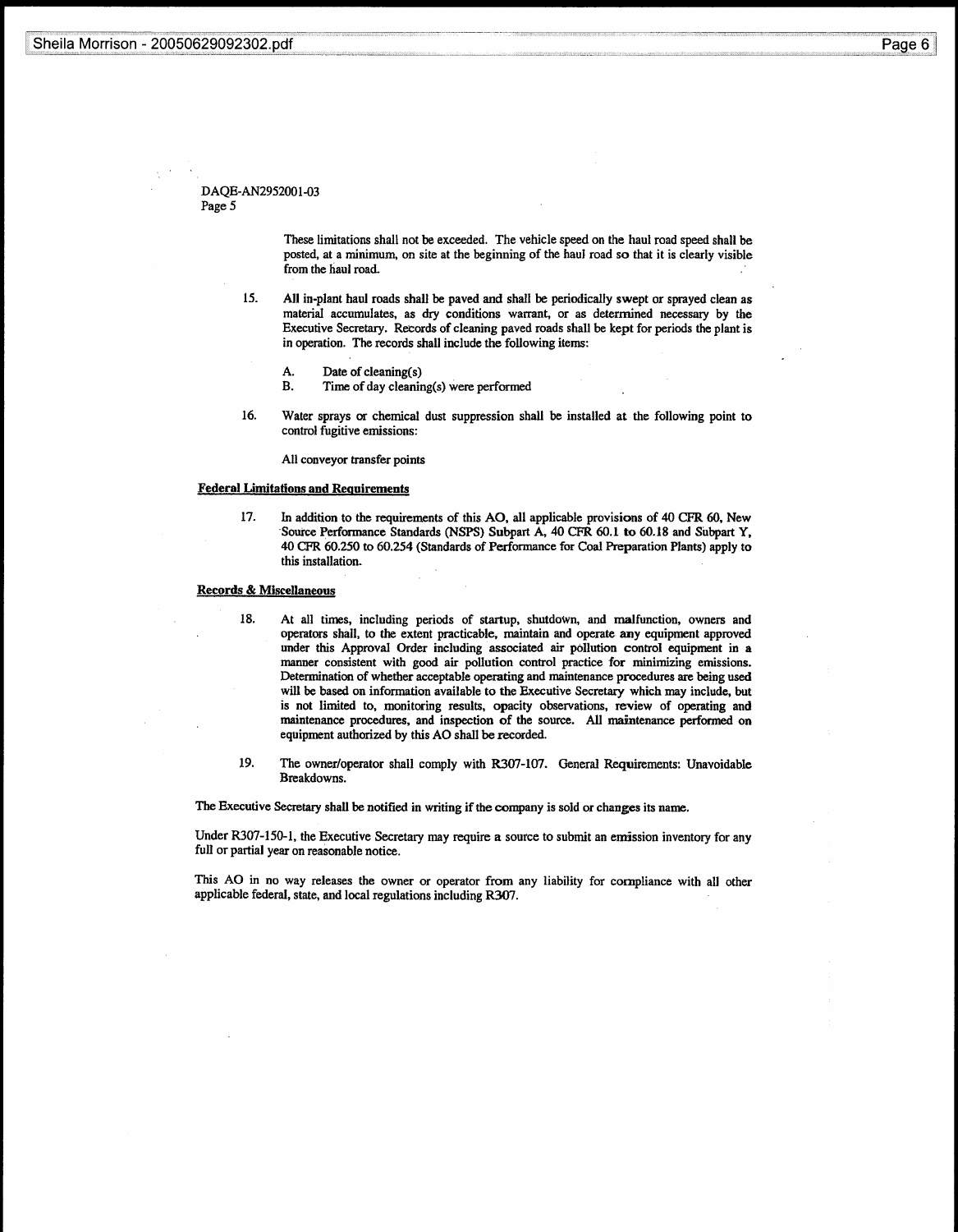# DAQE-AN2952001-03 Page 5

These limitations shall not be exceeded. The vehicle speed on the haul road speed shall be posted, at a minimum, on site at the beginning of the haul road so that it is clearly visible from the haul road.

- 15 . All in-plant haul roads shall be paved and shall be periodically swept or sprayed clean as material accumulates, as dry conditions warrant, or as determined necessary by the Executive Secretary . Records of cleaning paved roads shall be kept for periods the plant is in operation. The records shall include the following items:
	- Date of cleaning(s)
	- A.<br>B. Time of day cleaning(s) were performed
- 16. Water sprays or chemical dust suppression shall be installed at the following point to control fugitive emissions:

All conveyor transfer points

## Federal Limitations and Requirements

17. In addition to the requirements of this AO, all applicable provisions of 40 CFR 60, New Source Performance Standards (NSPS) Subpart A, 40 CFR 60.1 to 60.18 and Subpart Y, 40 CFR 60.250 to 60 .254 (Standards of Performance for Coal Preparation Plants) apply to this installation .

## Records&Miscellaneous

- 18. At all times, including periods of startup, shutdown, and malfunction, owners and operators shall, to the extent practicable, maintain and operate any equipment approved under this Approval Order including associated air pollution control equipment in a manner consistent with good air pollution control practice for minimizing emissions. Determination of whether acceptable operating and maintenance procedures are being used will be based on information available to the Executive Secretary which may include, but is not limited to, monitoring results, opacity observations, review of operating and maintenance procedures, and inspection of the source . All maintenance performed on equipment authorized by this AO shall be recorded.
- 19. The owner/operator shall comply with R307-107. General Requirements: Unavoidable Breakdowns.

The Executive Secretary shall be notified in writing if the company is sold or changes its name .

Under R307-150-1, the Executive Secretary may require a source to submit an emission inventory for any full or partial year on reasonable notice.

This AO in no way releases the owner or operator from any liability for compliance with all other applicable federal, state, and local regulations including R307 .